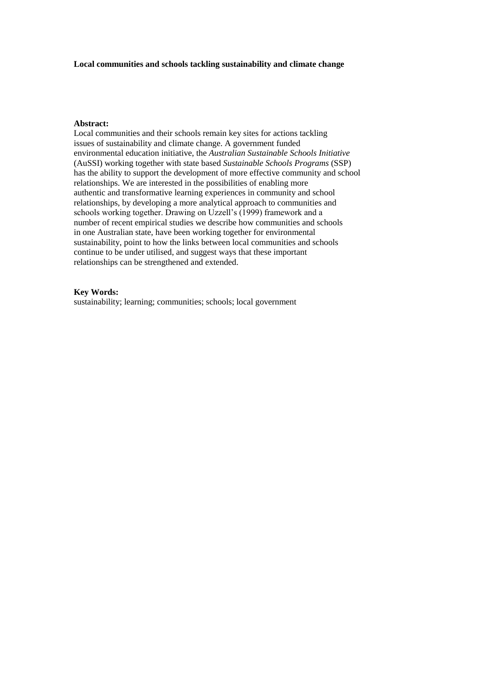#### **Local communities and schools tackling sustainability and climate change**

#### **Abstract:**

Local communities and their schools remain key sites for actions tackling issues of sustainability and climate change. A government funded environmental education initiative, the *Australian Sustainable Schools Initiative* (AuSSI) working together with state based *Sustainable Schools Programs* (SSP) has the ability to support the development of more effective community and school relationships. We are interested in the possibilities of enabling more authentic and transformative learning experiences in community and school relationships, by developing a more analytical approach to communities and schools working together. Drawing on Uzzell's (1999) framework and a number of recent empirical studies we describe how communities and schools in one Australian state, have been working together for environmental sustainability, point to how the links between local communities and schools continue to be under utilised, and suggest ways that these important relationships can be strengthened and extended.

#### **Key Words:**

sustainability; learning; communities; schools; local government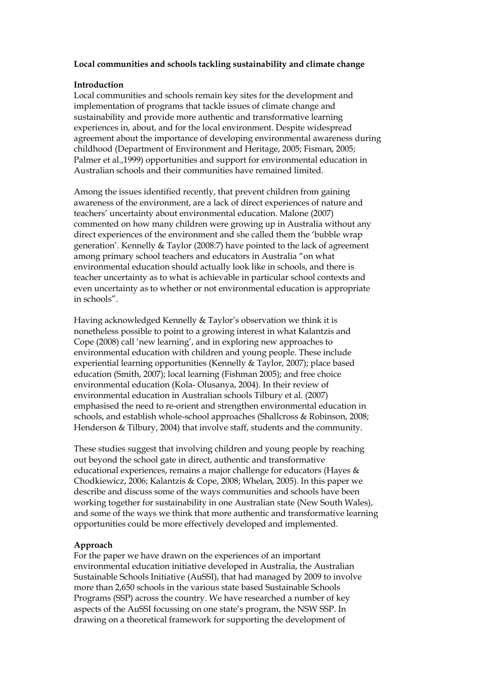# **Local communities and schools tackling sustainability and climate change**

## **Introduction**

Local communities and schools remain key sites for the development and implementation of programs that tackle issues of climate change and sustainability and provide more authentic and transformative learning experiences in, about, and for the local environment. Despite widespread agreement about the importance of developing environmental awareness during childhood (Department of Environment and Heritage, 2005; Fisman, 2005; Palmer et al.,1999) opportunities and support for environmental education in Australian schools and their communities have remained limited.

Among the issues identified recently, that prevent children from gaining awareness of the environment, are a lack of direct experiences of nature and teachers' uncertainty about environmental education. Malone (2007) commented on how many children were growing up in Australia without any direct experiences of the environment and she called them the 'bubble wrap generation'. Kennelly & Taylor (2008:7) have pointed to the lack of agreement among primary school teachers and educators in Australia "on what environmental education should actually look like in schools, and there is teacher uncertainty as to what is achievable in particular school contexts and even uncertainty as to whether or not environmental education is appropriate in schools".

Having acknowledged Kennelly & Taylor's observation we think it is nonetheless possible to point to a growing interest in what Kalantzis and Cope (2008) call 'new learning', and in exploring new approaches to environmental education with children and young people. These include experiential learning opportunities (Kennelly & Taylor, 2007); place based education (Smith, 2007); local learning (Fishman 2005); and free choice environmental education (Kola- Olusanya, 2004). In their review of environmental education in Australian schools Tilbury et al. (2007) emphasised the need to re-orient and strengthen environmental education in schools, and establish whole-school approaches (Shallcross & Robinson, 2008; Henderson & Tilbury, 2004) that involve staff, students and the community.

These studies suggest that involving children and young people by reaching out beyond the school gate in direct, authentic and transformative educational experiences, remains a major challenge for educators (Hayes & Chodkiewicz, 2006; Kalantzis & Cope, 2008; Whelan, 2005). In this paper we describe and discuss some of the ways communities and schools have been working together for sustainability in one Australian state (New South Wales), and some of the ways we think that more authentic and transformative learning opportunities could be more effectively developed and implemented.

## **Approach**

For the paper we have drawn on the experiences of an important environmental education initiative developed in Australia, the Australian Sustainable Schools Initiative (AuSSI), that had managed by 2009 to involve more than 2,650 schools in the various state based Sustainable Schools Programs (SSP) across the country. We have researched a number of key aspects of the AuSSI focussing on one state's program, the NSW SSP. In drawing on a theoretical framework for supporting the development of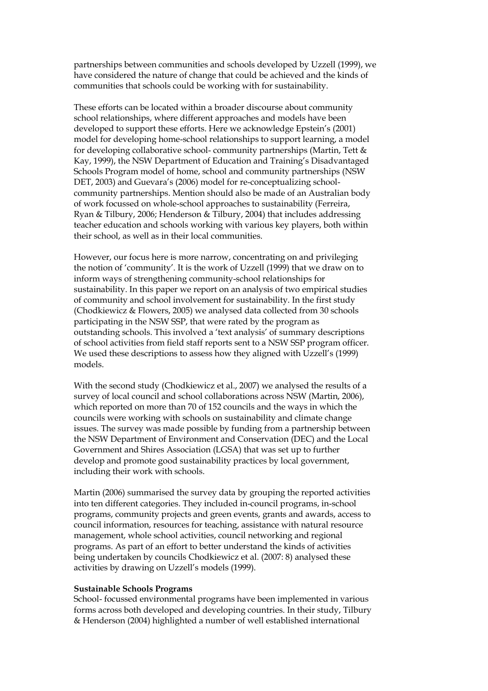partnerships between communities and schools developed by Uzzell (1999), we have considered the nature of change that could be achieved and the kinds of communities that schools could be working with for sustainability.

These efforts can be located within a broader discourse about community school relationships, where different approaches and models have been developed to support these efforts. Here we acknowledge Epstein's (2001) model for developing home-school relationships to support learning, a model for developing collaborative school- community partnerships (Martin, Tett & Kay, 1999), the NSW Department of Education and Training's Disadvantaged Schools Program model of home, school and community partnerships (NSW DET, 2003) and Guevara's (2006) model for re-conceptualizing schoolcommunity partnerships. Mention should also be made of an Australian body of work focussed on whole-school approaches to sustainability (Ferreira, Ryan & Tilbury, 2006; Henderson & Tilbury, 2004) that includes addressing teacher education and schools working with various key players, both within their school, as well as in their local communities.

However, our focus here is more narrow, concentrating on and privileging the notion of 'community'. It is the work of Uzzell (1999) that we draw on to inform ways of strengthening community-school relationships for sustainability. In this paper we report on an analysis of two empirical studies of community and school involvement for sustainability. In the first study (Chodkiewicz & Flowers, 2005) we analysed data collected from 30 schools participating in the NSW SSP, that were rated by the program as outstanding schools. This involved a 'text analysis' of summary descriptions of school activities from field staff reports sent to a NSW SSP program officer. We used these descriptions to assess how they aligned with Uzzell's (1999) models.

With the second study (Chodkiewicz et al., 2007) we analysed the results of a survey of local council and school collaborations across NSW (Martin, 2006), which reported on more than 70 of 152 councils and the ways in which the councils were working with schools on sustainability and climate change issues. The survey was made possible by funding from a partnership between the NSW Department of Environment and Conservation (DEC) and the Local Government and Shires Association (LGSA) that was set up to further develop and promote good sustainability practices by local government, including their work with schools.

Martin (2006) summarised the survey data by grouping the reported activities into ten different categories. They included in-council programs, in-school programs, community projects and green events, grants and awards, access to council information, resources for teaching, assistance with natural resource management, whole school activities, council networking and regional programs. As part of an effort to better understand the kinds of activities being undertaken by councils Chodkiewicz et al. (2007: 8) analysed these activities by drawing on Uzzell's models (1999).

#### **Sustainable Schools Programs**

School- focussed environmental programs have been implemented in various forms across both developed and developing countries. In their study, Tilbury & Henderson (2004) highlighted a number of well established international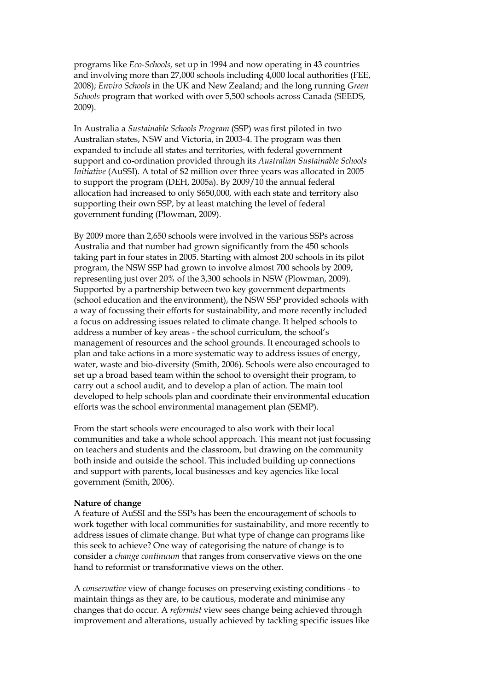programs like *Eco-Schools,* set up in 1994 and now operating in 43 countries and involving more than 27,000 schools including 4,000 local authorities (FEE, 2008); *Enviro Schools* in the UK and New Zealand; and the long running *Green Schools* program that worked with over 5,500 schools across Canada (SEEDS, 2009).

In Australia a *Sustainable Schools Program* (SSP) was first piloted in two Australian states, NSW and Victoria, in 2003-4. The program was then expanded to include all states and territories, with federal government support and co-ordination provided through its *Australian Sustainable Schools Initiative* (AuSSI). A total of \$2 million over three years was allocated in 2005 to support the program (DEH, 2005a). By 2009/10 the annual federal allocation had increased to only \$650,000, with each state and territory also supporting their own SSP, by at least matching the level of federal government funding (Plowman, 2009).

By 2009 more than 2,650 schools were involved in the various SSPs across Australia and that number had grown significantly from the 450 schools taking part in four states in 2005. Starting with almost 200 schools in its pilot program, the NSW SSP had grown to involve almost 700 schools by 2009, representing just over 20% of the 3,300 schools in NSW (Plowman, 2009). Supported by a partnership between two key government departments (school education and the environment), the NSW SSP provided schools with a way of focussing their efforts for sustainability, and more recently included a focus on addressing issues related to climate change. It helped schools to address a number of key areas - the school curriculum, the school's management of resources and the school grounds. It encouraged schools to plan and take actions in a more systematic way to address issues of energy, water, waste and bio-diversity (Smith, 2006). Schools were also encouraged to set up a broad based team within the school to oversight their program, to carry out a school audit, and to develop a plan of action. The main tool developed to help schools plan and coordinate their environmental education efforts was the school environmental management plan (SEMP).

From the start schools were encouraged to also work with their local communities and take a whole school approach. This meant not just focussing on teachers and students and the classroom, but drawing on the community both inside and outside the school. This included building up connections and support with parents, local businesses and key agencies like local government (Smith, 2006).

#### **Nature of change**

A feature of AuSSI and the SSPs has been the encouragement of schools to work together with local communities for sustainability, and more recently to address issues of climate change. But what type of change can programs like this seek to achieve? One way of categorising the nature of change is to consider a *change continuum* that ranges from conservative views on the one hand to reformist or transformative views on the other.

A *conservative* view of change focuses on preserving existing conditions - to maintain things as they are, to be cautious, moderate and minimise any changes that do occur. A *reformist* view sees change being achieved through improvement and alterations, usually achieved by tackling specific issues like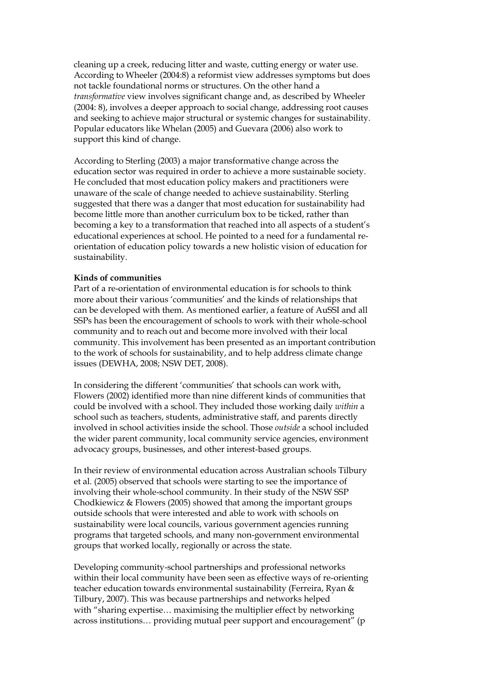cleaning up a creek, reducing litter and waste, cutting energy or water use. According to Wheeler (2004:8) a reformist view addresses symptoms but does not tackle foundational norms or structures. On the other hand a *transformative* view involves significant change and, as described by Wheeler (2004: 8), involves a deeper approach to social change, addressing root causes and seeking to achieve major structural or systemic changes for sustainability. Popular educators like Whelan (2005) and Guevara (2006) also work to support this kind of change.

According to Sterling (2003) a major transformative change across the education sector was required in order to achieve a more sustainable society. He concluded that most education policy makers and practitioners were unaware of the scale of change needed to achieve sustainability. Sterling suggested that there was a danger that most education for sustainability had become little more than another curriculum box to be ticked, rather than becoming a key to a transformation that reached into all aspects of a student's educational experiences at school. He pointed to a need for a fundamental reorientation of education policy towards a new holistic vision of education for sustainability.

## **Kinds of communities**

Part of a re-orientation of environmental education is for schools to think more about their various 'communities' and the kinds of relationships that can be developed with them. As mentioned earlier, a feature of AuSSI and all SSPs has been the encouragement of schools to work with their whole-school community and to reach out and become more involved with their local community. This involvement has been presented as an important contribution to the work of schools for sustainability, and to help address climate change issues (DEWHA, 2008; NSW DET, 2008).

In considering the different 'communities' that schools can work with, Flowers (2002) identified more than nine different kinds of communities that could be involved with a school. They included those working daily *within* a school such as teachers, students, administrative staff, and parents directly involved in school activities inside the school. Those *outside* a school included the wider parent community, local community service agencies, environment advocacy groups, businesses, and other interest-based groups.

In their review of environmental education across Australian schools Tilbury et al. (2005) observed that schools were starting to see the importance of involving their whole-school community. In their study of the NSW SSP Chodkiewicz & Flowers (2005) showed that among the important groups outside schools that were interested and able to work with schools on sustainability were local councils, various government agencies running programs that targeted schools, and many non-government environmental groups that worked locally, regionally or across the state.

Developing community-school partnerships and professional networks within their local community have been seen as effective ways of re-orienting teacher education towards environmental sustainability (Ferreira, Ryan & Tilbury, 2007). This was because partnerships and networks helped with "sharing expertise… maximising the multiplier effect by networking across institutions… providing mutual peer support and encouragement" (p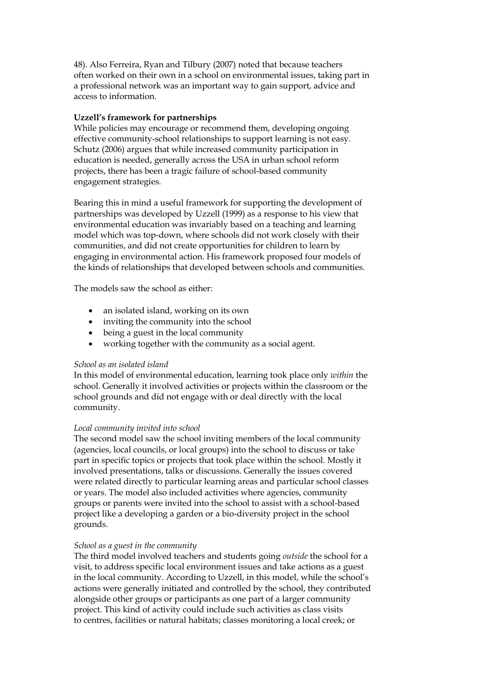48). Also Ferreira, Ryan and Tilbury (2007) noted that because teachers often worked on their own in a school on environmental issues, taking part in a professional network was an important way to gain support, advice and access to information.

# **Uzzell's framework for partnerships**

While policies may encourage or recommend them, developing ongoing effective community-school relationships to support learning is not easy. Schutz (2006) argues that while increased community participation in education is needed, generally across the USA in urban school reform projects, there has been a tragic failure of school-based community engagement strategies.

Bearing this in mind a useful framework for supporting the development of partnerships was developed by Uzzell (1999) as a response to his view that environmental education was invariably based on a teaching and learning model which was top-down, where schools did not work closely with their communities, and did not create opportunities for children to learn by engaging in environmental action. His framework proposed four models of the kinds of relationships that developed between schools and communities.

The models saw the school as either:

- an isolated island, working on its own
- inviting the community into the school
- being a guest in the local community
- working together with the community as a social agent.

## *School as an isolated island*

In this model of environmental education, learning took place only *within* the school. Generally it involved activities or projects within the classroom or the school grounds and did not engage with or deal directly with the local community.

## *Local community invited into school*

The second model saw the school inviting members of the local community (agencies, local councils, or local groups) into the school to discuss or take part in specific topics or projects that took place within the school. Mostly it involved presentations, talks or discussions. Generally the issues covered were related directly to particular learning areas and particular school classes or years. The model also included activities where agencies, community groups or parents were invited into the school to assist with a school-based project like a developing a garden or a bio-diversity project in the school grounds.

## *School as a guest in the community*

The third model involved teachers and students going *outside* the school for a visit, to address specific local environment issues and take actions as a guest in the local community. According to Uzzell, in this model, while the school's actions were generally initiated and controlled by the school, they contributed alongside other groups or participants as one part of a larger community project. This kind of activity could include such activities as class visits to centres, facilities or natural habitats; classes monitoring a local creek; or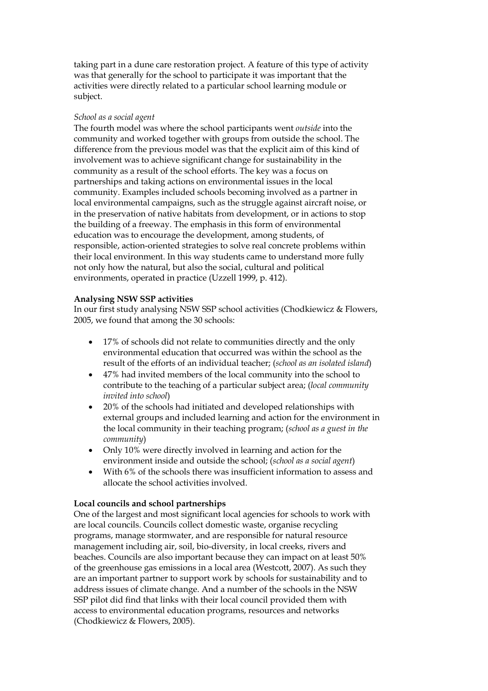taking part in a dune care restoration project. A feature of this type of activity was that generally for the school to participate it was important that the activities were directly related to a particular school learning module or subject.

## *School as a social agent*

The fourth model was where the school participants went *outside* into the community and worked together with groups from outside the school. The difference from the previous model was that the explicit aim of this kind of involvement was to achieve significant change for sustainability in the community as a result of the school efforts. The key was a focus on partnerships and taking actions on environmental issues in the local community. Examples included schools becoming involved as a partner in local environmental campaigns, such as the struggle against aircraft noise, or in the preservation of native habitats from development, or in actions to stop the building of a freeway. The emphasis in this form of environmental education was to encourage the development, among students, of responsible, action-oriented strategies to solve real concrete problems within their local environment. In this way students came to understand more fully not only how the natural, but also the social, cultural and political environments, operated in practice (Uzzell 1999, p. 412).

## **Analysing NSW SSP activities**

In our first study analysing NSW SSP school activities (Chodkiewicz & Flowers, 2005, we found that among the 30 schools:

- 17% of schools did not relate to communities directly and the only environmental education that occurred was within the school as the result of the efforts of an individual teacher; (*school as an isolated island*)
- 47% had invited members of the local community into the school to contribute to the teaching of a particular subject area; (*local community invited into school*)
- 20% of the schools had initiated and developed relationships with external groups and included learning and action for the environment in the local community in their teaching program; (*school as a guest in the community*)
- Only 10% were directly involved in learning and action for the environment inside and outside the school; (*school as a social agent*)
- With 6% of the schools there was insufficient information to assess and allocate the school activities involved.

## **Local councils and school partnerships**

One of the largest and most significant local agencies for schools to work with are local councils. Councils collect domestic waste, organise recycling programs, manage stormwater, and are responsible for natural resource management including air, soil, bio-diversity, in local creeks, rivers and beaches. Councils are also important because they can impact on at least 50% of the greenhouse gas emissions in a local area (Westcott, 2007). As such they are an important partner to support work by schools for sustainability and to address issues of climate change. And a number of the schools in the NSW SSP pilot did find that links with their local council provided them with access to environmental education programs, resources and networks (Chodkiewicz & Flowers, 2005).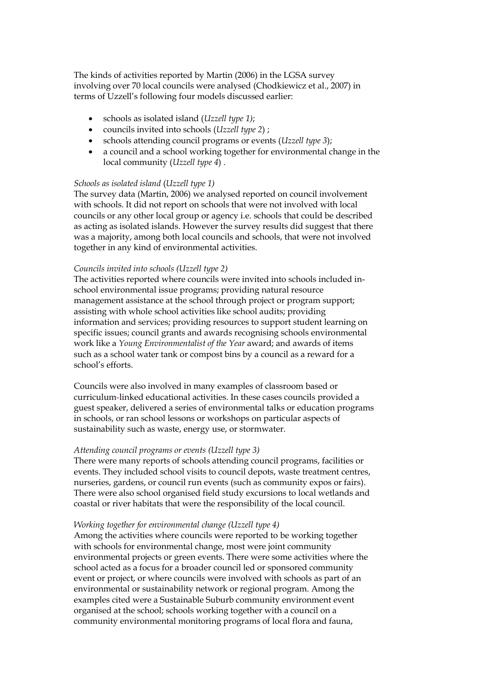The kinds of activities reported by Martin (2006) in the LGSA survey involving over 70 local councils were analysed (Chodkiewicz et al., 2007) in terms of Uzzell's following four models discussed earlier:

- schools as isolated island (*Uzzell type 1)*;
- councils invited into schools (*Uzzell type 2*) ;
- schools attending council programs or events (*Uzzell type 3*);
- a council and a school working together for environmental change in the local community (*Uzzell type 4*) .

#### *Schools as isolated island* (*Uzzell type 1)*

The survey data (Martin, 2006) we analysed reported on council involvement with schools. It did not report on schools that were not involved with local councils or any other local group or agency i.e. schools that could be described as acting as isolated islands. However the survey results did suggest that there was a majority, among both local councils and schools, that were not involved together in any kind of environmental activities.

#### *Councils invited into schools (Uzzell type 2)*

The activities reported where councils were invited into schools included inschool environmental issue programs; providing natural resource management assistance at the school through project or program support; assisting with whole school activities like school audits; providing information and services; providing resources to support student learning on specific issues; council grants and awards recognising schools environmental work like a *Young Environmentalist of the Year* award; and awards of items such as a school water tank or compost bins by a council as a reward for a school's efforts.

Councils were also involved in many examples of classroom based or curriculum-linked educational activities. In these cases councils provided a guest speaker, delivered a series of environmental talks or education programs in schools, or ran school lessons or workshops on particular aspects of sustainability such as waste, energy use, or stormwater.

#### *Attending council programs or events (Uzzell type 3)*

There were many reports of schools attending council programs, facilities or events. They included school visits to council depots, waste treatment centres, nurseries, gardens, or council run events (such as community expos or fairs). There were also school organised field study excursions to local wetlands and coastal or river habitats that were the responsibility of the local council.

#### *Working together for environmental change (Uzzell type 4)*

Among the activities where councils were reported to be working together with schools for environmental change, most were joint community environmental projects or green events. There were some activities where the school acted as a focus for a broader council led or sponsored community event or project, or where councils were involved with schools as part of an environmental or sustainability network or regional program. Among the examples cited were a Sustainable Suburb community environment event organised at the school; schools working together with a council on a community environmental monitoring programs of local flora and fauna,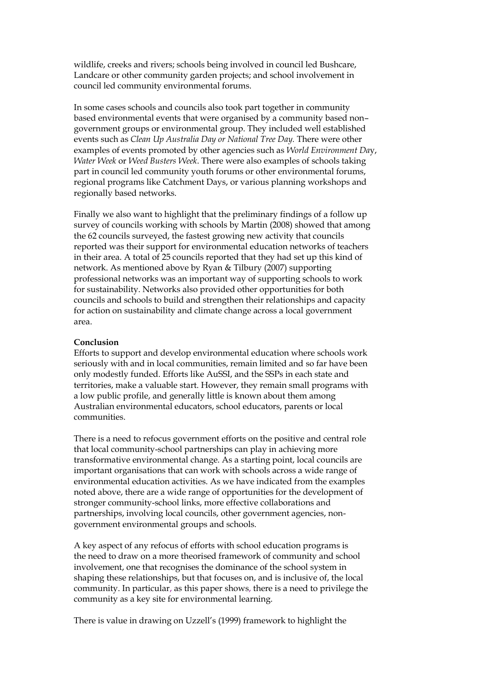wildlife, creeks and rivers; schools being involved in council led Bushcare, Landcare or other community garden projects; and school involvement in council led community environmental forums.

In some cases schools and councils also took part together in community based environmental events that were organised by a community based non– government groups or environmental group. They included well established events such as *Clean Up Australia Day or National Tree Day.* There were other examples of events promoted by other agencies such as *World Environment Da*y, *Water Week* or *Weed Busters Week*. There were also examples of schools taking part in council led community youth forums or other environmental forums, regional programs like Catchment Days, or various planning workshops and regionally based networks.

Finally we also want to highlight that the preliminary findings of a follow up survey of councils working with schools by Martin (2008) showed that among the 62 councils surveyed, the fastest growing new activity that councils reported was their support for environmental education networks of teachers in their area. A total of 25 councils reported that they had set up this kind of network. As mentioned above by Ryan & Tilbury (2007) supporting professional networks was an important way of supporting schools to work for sustainability. Networks also provided other opportunities for both councils and schools to build and strengthen their relationships and capacity for action on sustainability and climate change across a local government area.

#### **Conclusion**

Efforts to support and develop environmental education where schools work seriously with and in local communities, remain limited and so far have been only modestly funded. Efforts like AuSSI, and the SSPs in each state and territories, make a valuable start. However, they remain small programs with a low public profile, and generally little is known about them among Australian environmental educators, school educators, parents or local communities.

There is a need to refocus government efforts on the positive and central role that local community-school partnerships can play in achieving more transformative environmental change. As a starting point, local councils are important organisations that can work with schools across a wide range of environmental education activities. As we have indicated from the examples noted above, there are a wide range of opportunities for the development of stronger community-school links, more effective collaborations and partnerships, involving local councils, other government agencies, nongovernment environmental groups and schools.

A key aspect of any refocus of efforts with school education programs is the need to draw on a more theorised framework of community and school involvement, one that recognises the dominance of the school system in shaping these relationships, but that focuses on, and is inclusive of, the local community. In particular, as this paper shows, there is a need to privilege the community as a key site for environmental learning.

There is value in drawing on Uzzell's (1999) framework to highlight the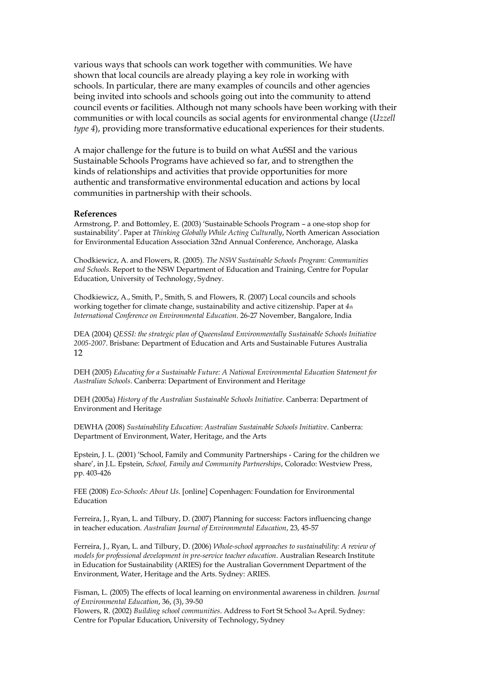various ways that schools can work together with communities. We have shown that local councils are already playing a key role in working with schools. In particular, there are many examples of councils and other agencies being invited into schools and schools going out into the community to attend council events or facilities. Although not many schools have been working with their communities or with local councils as social agents for environmental change (*Uzzell type 4*), providing more transformative educational experiences for their students.

A major challenge for the future is to build on what AuSSI and the various Sustainable Schools Programs have achieved so far, and to strengthen the kinds of relationships and activities that provide opportunities for more authentic and transformative environmental education and actions by local communities in partnership with their schools.

#### **References**

Armstrong, P. and Bottomley, E. (2003) 'Sustainable Schools Program – a one-stop shop for sustainability'. Paper at *Thinking Globally While Acting Culturally*, North American Association for Environmental Education Association 32nd Annual Conference, Anchorage, Alaska

Chodkiewicz, A. and Flowers, R. (2005). *The NSW Sustainable Schools Program: Communities and Schools*. Report to the NSW Department of Education and Training, Centre for Popular Education, University of Technology, Sydney.

Chodkiewicz, A., Smith, P., Smith, S. and Flowers, R. (2007) Local councils and schools working together for climate change, sustainability and active citizenship. Paper at *4th International Conference on Environmental Education*. 26-27 November, Bangalore, India

DEA (2004) *QESSI: the strategic plan of Queensland Environmentally Sustainable Schools Initiative 2005-2007*. Brisbane: Department of Education and Arts and Sustainable Futures Australia 12

DEH (2005) *Educating for a Sustainable Future: A National Environmental Education Statement for Australian Schools*. Canberra: Department of Environment and Heritage

DEH (2005a) *History of the Australian Sustainable Schools Initiative*. Canberra: Department of Environment and Heritage

DEWHA (2008) *Sustainability Education*: *Australian Sustainable Schools Initiative*. Canberra: Department of Environment, Water, Heritage, and the Arts

Epstein, J. L. (2001) 'School, Family and Community Partnerships - Caring for the children we share', in J.L. Epstein, *School, Family and Community Partnerships*, Colorado: Westview Press, pp. 403-426

FEE (2008) *Eco-Schools: About Us*. [online] Copenhagen: Foundation for Environmental Education

Ferreira, J., Ryan, L. and Tilbury, D. (2007) Planning for success: Factors influencing change in teacher education. *Australian Journal of Environmental Education*, 23, 45-57

Ferreira, J., Ryan, L. and Tilbury, D. (2006) *Whole-school approaches to sustainability: A review of models for professional development in pre-service teacher education*. Australian Research Institute in Education for Sustainability (ARIES) for the Australian Government Department of the Environment, Water, Heritage and the Arts. Sydney: ARIES.

Fisman, L. (2005) The effects of local learning on environmental awareness in children. *Journal of Environmental Education*, 36, (3), 39-50

Flowers, R. (2002) *Building school communities*. Address to Fort St School 3rd April. Sydney: Centre for Popular Education, University of Technology, Sydney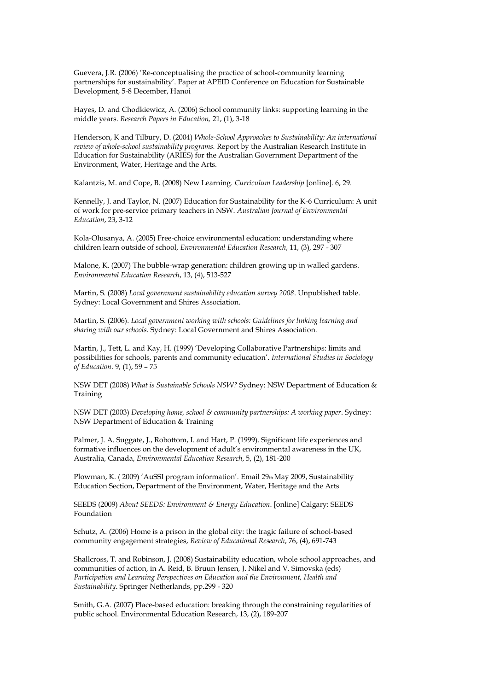Guevera, J.R. (2006) 'Re-conceptualising the practice of school-community learning partnerships for sustainability'. Paper at APEID Conference on Education for Sustainable Development, 5-8 December, Hanoi

Hayes, D. and Chodkiewicz, A. (2006) School community links: supporting learning in the middle years. *Research Papers in Education,* 21, (1), 3-18

Henderson, K and Tilbury, D. (2004) *Whole-School Approaches to Sustainability: An international review of whole-school sustainability programs.* Report by the Australian Research Institute in Education for Sustainability (ARIES) for the Australian Government Department of the Environment, Water, Heritage and the Arts.

Kalantzis, M. and Cope, B. (2008) New Learning. *Curriculum Leadership* [online]. 6, 29.

Kennelly, J. and Taylor, N. (2007) Education for Sustainability for the K-6 Curriculum: A unit of work for pre-service primary teachers in NSW. *Australian Journal of Environmental Education*, 23, 3-12

Kola-Olusanya, A. (2005) Free-choice environmental education: understanding where children learn outside of school, *Environmental Education Research*, 11, (3), 297 - 307

Malone, K. (2007) The bubble-wrap generation: children growing up in walled gardens. *Environmental Education Research*, 13, (4), 513-527

Martin, S. (2008) *Local government sustainability education survey 2008*. Unpublished table. Sydney: Local Government and Shires Association.

Martin, S. (2006). *Local government working with schools: Guidelines for linking learning and sharing with our schools.* Sydney: Local Government and Shires Association.

Martin, J., Tett, L. and Kay, H. (1999) 'Developing Collaborative Partnerships: limits and possibilities for schools, parents and community education'. *International Studies in Sociology of Education*. 9, (1), 59 – 75

NSW DET (2008) *What is Sustainable Schools NSW?* Sydney: NSW Department of Education & Training

NSW DET (2003) *Developing home, school & community partnerships: A working paper*. Sydney: NSW Department of Education & Training

Palmer, J. A. Suggate, J., Robottom, I. and Hart, P. (1999). Significant life experiences and formative influences on the development of adult's environmental awareness in the UK, Australia, Canada, *Environmental Education Research*, 5, (2), 181-200

Plowman, K. ( 2009) 'AuSSI program information'. Email 29th May 2009, Sustainability Education Section, Department of the Environment, Water, Heritage and the Arts

SEEDS (2009) *About SEEDS: Environment & Energy Education*. [online] Calgary: SEEDS Foundation

Schutz, A. (2006) Home is a prison in the global city: the tragic failure of school-based community engagement strategies, *Review of Educational Research*, 76, (4), 691-743

Shallcross, T. and Robinson, J. (2008) Sustainability education, whole school approaches, and communities of action, in A. Reid, B. Bruun Jensen, J. Nikel and V. Simovska (eds) *Participation and Learning Perspectives on Education and the Environment, Health and Sustainability*. Springer Netherlands, pp.299 - 320

Smith, G.A. (2007) Place-based education: breaking through the constraining regularities of public school. Environmental Education Research, 13, (2), 189-207